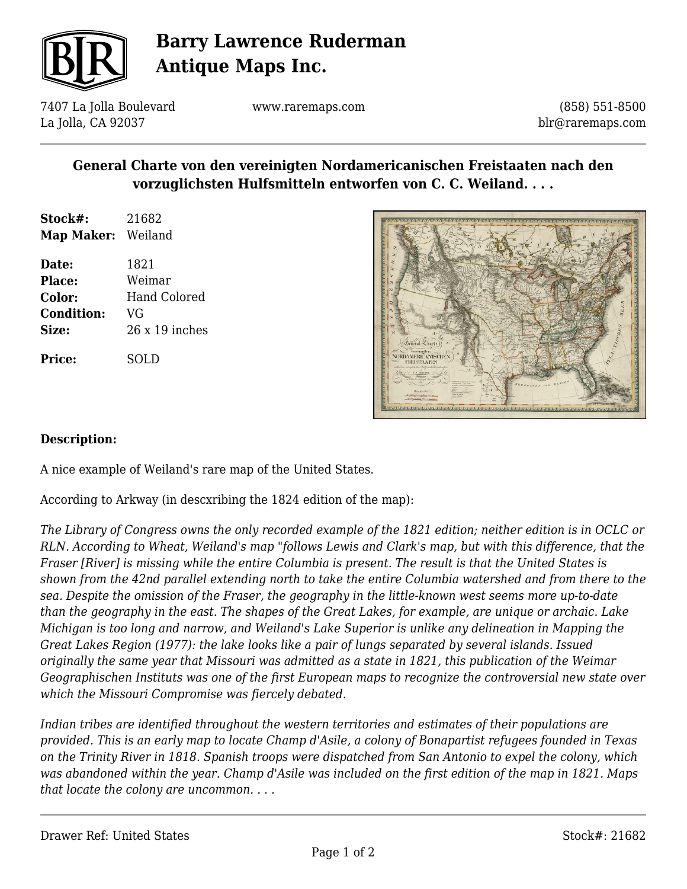

# **Barry Lawrence Ruderman Antique Maps Inc.**

7407 La Jolla Boulevard La Jolla, CA 92037

www.raremaps.com

(858) 551-8500 blr@raremaps.com

### **General Charte von den vereinigten Nordamericanischen Freistaaten nach den vorzuglichsten Hulfsmitteln entworfen von C. C. Weiland. . . .**

| Stock#:           | 21682   |
|-------------------|---------|
| <b>Map Maker:</b> | Weiland |

**Date:** 1821 **Place:** Weimar **Color:** Hand Colored **Condition:** VG **Size:** 26 x 19 inches

**Price:** SOLD



#### **Description:**

A nice example of Weiland's rare map of the United States.

According to Arkway (in descxribing the 1824 edition of the map):

*The Library of Congress owns the only recorded example of the 1821 edition; neither edition is in OCLC or RLN. According to Wheat, Weiland's map "follows Lewis and Clark's map, but with this difference, that the Fraser [River] is missing while the entire Columbia is present. The result is that the United States is shown from the 42nd parallel extending north to take the entire Columbia watershed and from there to the sea. Despite the omission of the Fraser, the geography in the little-known west seems more up-to-date than the geography in the east. The shapes of the Great Lakes, for example, are unique or archaic. Lake Michigan is too long and narrow, and Weiland's Lake Superior is unlike any delineation in Mapping the Great Lakes Region (1977): the lake looks like a pair of lungs separated by several islands. Issued originally the same year that Missouri was admitted as a state in 1821, this publication of the Weimar Geographischen Instituts was one of the first European maps to recognize the controversial new state over which the Missouri Compromise was fiercely debated.*

*Indian tribes are identified throughout the western territories and estimates of their populations are provided. This is an early map to locate Champ d'Asile, a colony of Bonapartist refugees founded in Texas on the Trinity River in 1818. Spanish troops were dispatched from San Antonio to expel the colony, which was abandoned within the year. Champ d'Asile was included on the first edition of the map in 1821. Maps that locate the colony are uncommon. . . .*